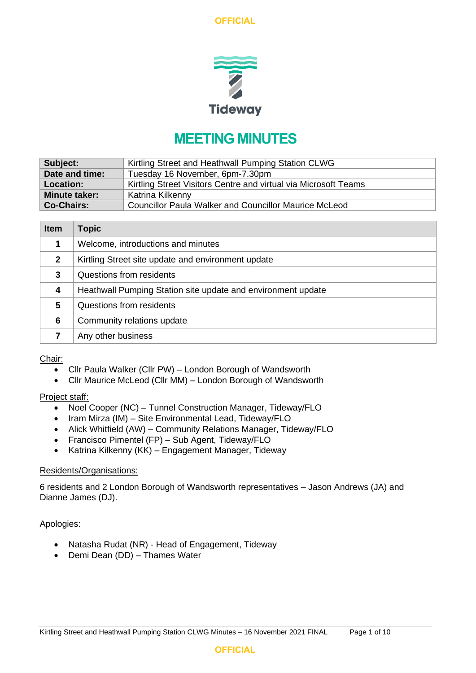

# **MEETING MINUTES**

| Subject:             | Kirtling Street and Heathwall Pumping Station CLWG              |
|----------------------|-----------------------------------------------------------------|
| Date and time:       | Tuesday 16 November, 6pm-7.30pm                                 |
| <b>Location:</b>     | Kirtling Street Visitors Centre and virtual via Microsoft Teams |
| <b>Minute taker:</b> | Katrina Kilkenny                                                |
| <b>Co-Chairs:</b>    | <b>Councillor Paula Walker and Councillor Maurice McLeod</b>    |

| <b>Item</b>  | <b>Topic</b>                                                 |
|--------------|--------------------------------------------------------------|
|              | Welcome, introductions and minutes                           |
| $\mathbf{2}$ | Kirtling Street site update and environment update           |
| 3            | Questions from residents                                     |
| 4            | Heathwall Pumping Station site update and environment update |
| 5            | Questions from residents                                     |
| 6            | Community relations update                                   |
|              | Any other business                                           |

#### Chair:

- Cllr Paula Walker (Cllr PW) London Borough of Wandsworth
- Cllr Maurice McLeod (Cllr MM) London Borough of Wandsworth

#### Project staff:

- Noel Cooper (NC) Tunnel Construction Manager, Tideway/FLO
- Iram Mirza (IM) Site Environmental Lead, Tideway/FLO
- Alick Whitfield (AW) Community Relations Manager, Tideway/FLO
- Francisco Pimentel (FP) Sub Agent, Tideway/FLO
- Katrina Kilkenny (KK) Engagement Manager, Tideway

#### Residents/Organisations:

6 residents and 2 London Borough of Wandsworth representatives – Jason Andrews (JA) and Dianne James (DJ).

Apologies:

- Natasha Rudat (NR) Head of Engagement, Tideway
- Demi Dean (DD) Thames Water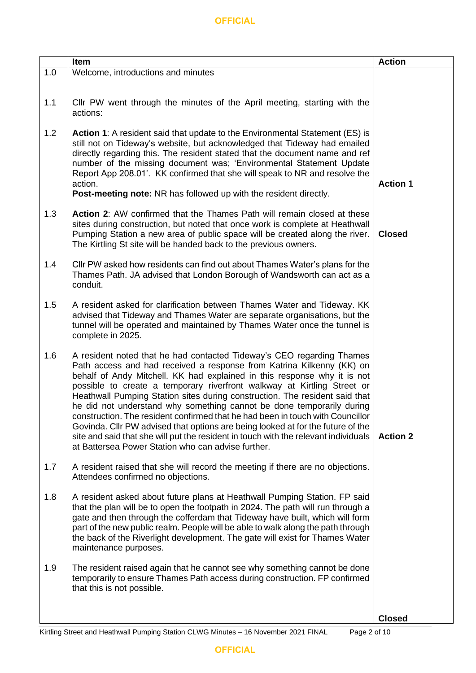|     | Item                                                                                                                                                                                                                                                                                                                                                                                                                                                                                                                                                                                                                                                                                                                                                                            | <b>Action</b>   |
|-----|---------------------------------------------------------------------------------------------------------------------------------------------------------------------------------------------------------------------------------------------------------------------------------------------------------------------------------------------------------------------------------------------------------------------------------------------------------------------------------------------------------------------------------------------------------------------------------------------------------------------------------------------------------------------------------------------------------------------------------------------------------------------------------|-----------------|
| 1.0 | Welcome, introductions and minutes                                                                                                                                                                                                                                                                                                                                                                                                                                                                                                                                                                                                                                                                                                                                              |                 |
| 1.1 | CIIr PW went through the minutes of the April meeting, starting with the<br>actions:                                                                                                                                                                                                                                                                                                                                                                                                                                                                                                                                                                                                                                                                                            |                 |
| 1.2 | Action 1: A resident said that update to the Environmental Statement (ES) is<br>still not on Tideway's website, but acknowledged that Tideway had emailed<br>directly regarding this. The resident stated that the document name and ref<br>number of the missing document was; 'Environmental Statement Update<br>Report App 208.01'. KK confirmed that she will speak to NR and resolve the<br>action.<br>Post-meeting note: NR has followed up with the resident directly.                                                                                                                                                                                                                                                                                                   | <b>Action 1</b> |
| 1.3 | <b>Action 2:</b> AW confirmed that the Thames Path will remain closed at these<br>sites during construction, but noted that once work is complete at Heathwall<br>Pumping Station a new area of public space will be created along the river.<br>The Kirtling St site will be handed back to the previous owners.                                                                                                                                                                                                                                                                                                                                                                                                                                                               | <b>Closed</b>   |
| 1.4 | CIIr PW asked how residents can find out about Thames Water's plans for the<br>Thames Path. JA advised that London Borough of Wandsworth can act as a<br>conduit.                                                                                                                                                                                                                                                                                                                                                                                                                                                                                                                                                                                                               |                 |
| 1.5 | A resident asked for clarification between Thames Water and Tideway. KK<br>advised that Tideway and Thames Water are separate organisations, but the<br>tunnel will be operated and maintained by Thames Water once the tunnel is<br>complete in 2025.                                                                                                                                                                                                                                                                                                                                                                                                                                                                                                                          |                 |
| 1.6 | A resident noted that he had contacted Tideway's CEO regarding Thames<br>Path access and had received a response from Katrina Kilkenny (KK) on<br>behalf of Andy Mitchell. KK had explained in this response why it is not<br>possible to create a temporary riverfront walkway at Kirtling Street or<br>Heathwall Pumping Station sites during construction. The resident said that<br>he did not understand why something cannot be done temporarily during<br>construction. The resident confirmed that he had been in touch with Councillor<br>Govinda. Cllr PW advised that options are being looked at for the future of the<br>site and said that she will put the resident in touch with the relevant individuals<br>at Battersea Power Station who can advise further. | <b>Action 2</b> |
| 1.7 | A resident raised that she will record the meeting if there are no objections.<br>Attendees confirmed no objections.                                                                                                                                                                                                                                                                                                                                                                                                                                                                                                                                                                                                                                                            |                 |
| 1.8 | A resident asked about future plans at Heathwall Pumping Station. FP said<br>that the plan will be to open the footpath in 2024. The path will run through a<br>gate and then through the cofferdam that Tideway have built, which will form<br>part of the new public realm. People will be able to walk along the path through<br>the back of the Riverlight development. The gate will exist for Thames Water<br>maintenance purposes.                                                                                                                                                                                                                                                                                                                                       |                 |
| 1.9 | The resident raised again that he cannot see why something cannot be done<br>temporarily to ensure Thames Path access during construction. FP confirmed<br>that this is not possible.                                                                                                                                                                                                                                                                                                                                                                                                                                                                                                                                                                                           |                 |
|     |                                                                                                                                                                                                                                                                                                                                                                                                                                                                                                                                                                                                                                                                                                                                                                                 | <b>Closed</b>   |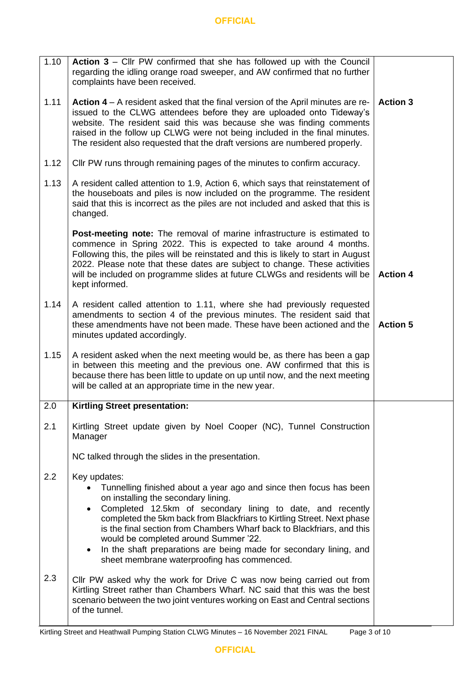| 1.10 | Action 3 – Cllr PW confirmed that she has followed up with the Council<br>regarding the idling orange road sweeper, and AW confirmed that no further<br>complaints have been received.                                                                                                                                                                                                                                                                                                                                 |                 |
|------|------------------------------------------------------------------------------------------------------------------------------------------------------------------------------------------------------------------------------------------------------------------------------------------------------------------------------------------------------------------------------------------------------------------------------------------------------------------------------------------------------------------------|-----------------|
| 1.11 | Action 4 – A resident asked that the final version of the April minutes are re-<br>issued to the CLWG attendees before they are uploaded onto Tideway's<br>website. The resident said this was because she was finding comments<br>raised in the follow up CLWG were not being included in the final minutes.<br>The resident also requested that the draft versions are numbered properly.                                                                                                                            | <b>Action 3</b> |
| 1.12 | CIIr PW runs through remaining pages of the minutes to confirm accuracy.                                                                                                                                                                                                                                                                                                                                                                                                                                               |                 |
| 1.13 | A resident called attention to 1.9, Action 6, which says that reinstatement of<br>the houseboats and piles is now included on the programme. The resident<br>said that this is incorrect as the piles are not included and asked that this is<br>changed.                                                                                                                                                                                                                                                              |                 |
|      | Post-meeting note: The removal of marine infrastructure is estimated to<br>commence in Spring 2022. This is expected to take around 4 months.<br>Following this, the piles will be reinstated and this is likely to start in August<br>2022. Please note that these dates are subject to change. These activities<br>will be included on programme slides at future CLWGs and residents will be<br>kept informed.                                                                                                      | <b>Action 4</b> |
| 1.14 | A resident called attention to 1.11, where she had previously requested<br>amendments to section 4 of the previous minutes. The resident said that<br>these amendments have not been made. These have been actioned and the<br>minutes updated accordingly.                                                                                                                                                                                                                                                            | <b>Action 5</b> |
| 1.15 | A resident asked when the next meeting would be, as there has been a gap<br>in between this meeting and the previous one. AW confirmed that this is<br>because there has been little to update on up until now, and the next meeting<br>will be called at an appropriate time in the new year.                                                                                                                                                                                                                         |                 |
| 2.0  | <b>Kirtling Street presentation:</b>                                                                                                                                                                                                                                                                                                                                                                                                                                                                                   |                 |
| 2.1  | Kirtling Street update given by Noel Cooper (NC), Tunnel Construction<br>Manager                                                                                                                                                                                                                                                                                                                                                                                                                                       |                 |
|      | NC talked through the slides in the presentation.                                                                                                                                                                                                                                                                                                                                                                                                                                                                      |                 |
| 2.2  | Key updates:<br>Tunnelling finished about a year ago and since then focus has been<br>on installing the secondary lining.<br>Completed 12.5km of secondary lining to date, and recently<br>$\bullet$<br>completed the 5km back from Blackfriars to Kirtling Street. Next phase<br>is the final section from Chambers Wharf back to Blackfriars, and this<br>would be completed around Summer '22.<br>In the shaft preparations are being made for secondary lining, and<br>sheet membrane waterproofing has commenced. |                 |
| 2.3  | Cllr PW asked why the work for Drive C was now being carried out from<br>Kirtling Street rather than Chambers Wharf. NC said that this was the best<br>scenario between the two joint ventures working on East and Central sections<br>of the tunnel.                                                                                                                                                                                                                                                                  |                 |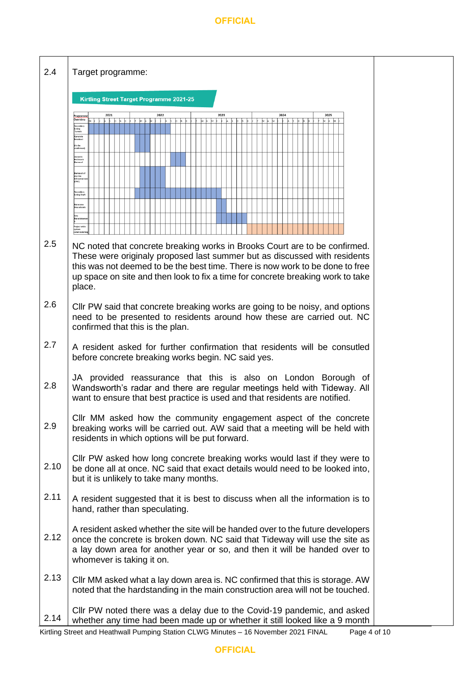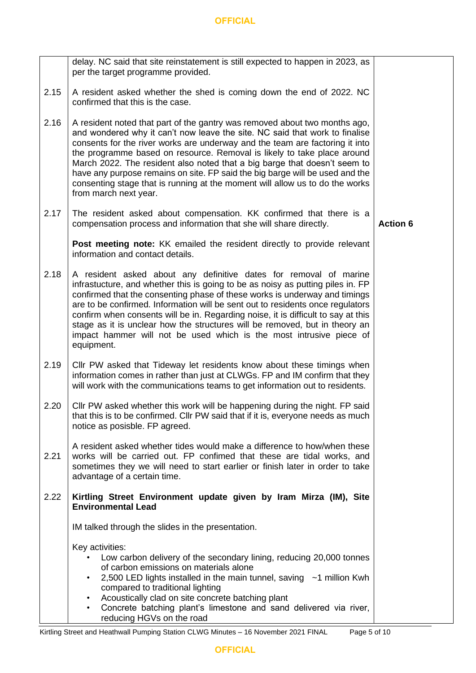|      | delay. NC said that site reinstatement is still expected to happen in 2023, as<br>per the target programme provided.                                                                                                                                                                                                                                                                                                                                                                                                                                                                       |                 |
|------|--------------------------------------------------------------------------------------------------------------------------------------------------------------------------------------------------------------------------------------------------------------------------------------------------------------------------------------------------------------------------------------------------------------------------------------------------------------------------------------------------------------------------------------------------------------------------------------------|-----------------|
| 2.15 | A resident asked whether the shed is coming down the end of 2022. NC<br>confirmed that this is the case.                                                                                                                                                                                                                                                                                                                                                                                                                                                                                   |                 |
| 2.16 | A resident noted that part of the gantry was removed about two months ago,<br>and wondered why it can't now leave the site. NC said that work to finalise<br>consents for the river works are underway and the team are factoring it into<br>the programme based on resource. Removal is likely to take place around<br>March 2022. The resident also noted that a big barge that doesn't seem to<br>have any purpose remains on site. FP said the big barge will be used and the<br>consenting stage that is running at the moment will allow us to do the works<br>from march next year. |                 |
| 2.17 | The resident asked about compensation. KK confirmed that there is a<br>compensation process and information that she will share directly.                                                                                                                                                                                                                                                                                                                                                                                                                                                  | <b>Action 6</b> |
|      | Post meeting note: KK emailed the resident directly to provide relevant<br>information and contact details.                                                                                                                                                                                                                                                                                                                                                                                                                                                                                |                 |
| 2.18 | A resident asked about any definitive dates for removal of marine<br>infrastucture, and whether this is going to be as noisy as putting piles in. FP<br>confirmed that the consenting phase of these works is underway and timings<br>are to be confirmed. Information will be sent out to residents once regulators<br>confirm when consents will be in. Regarding noise, it is difficult to say at this<br>stage as it is unclear how the structures will be removed, but in theory an<br>impact hammer will not be used which is the most intrusive piece of<br>equipment.              |                 |
| 2.19 | CIIr PW asked that Tideway let residents know about these timings when<br>information comes in rather than just at CLWGs. FP and IM confirm that they<br>will work with the communications teams to get information out to residents.                                                                                                                                                                                                                                                                                                                                                      |                 |
| 2.20 | Cllr PW asked whether this work will be happening during the night. FP said<br>that this is to be confirmed. Cllr PW said that if it is, everyone needs as much<br>notice as posisble. FP agreed.                                                                                                                                                                                                                                                                                                                                                                                          |                 |
| 2.21 | A resident asked whether tides would make a difference to how/when these<br>works will be carried out. FP confimed that these are tidal works, and<br>sometimes they we will need to start earlier or finish later in order to take<br>advantage of a certain time.                                                                                                                                                                                                                                                                                                                        |                 |
| 2.22 | Kirtling Street Environment update given by Iram Mirza (IM), Site<br><b>Environmental Lead</b>                                                                                                                                                                                                                                                                                                                                                                                                                                                                                             |                 |
|      | IM talked through the slides in the presentation.                                                                                                                                                                                                                                                                                                                                                                                                                                                                                                                                          |                 |
|      | Key activities:<br>Low carbon delivery of the secondary lining, reducing 20,000 tonnes<br>of carbon emissions on materials alone<br>2,500 LED lights installed in the main tunnel, saving $\sim$ 1 million Kwh<br>compared to traditional lighting<br>Acoustically clad on site concrete batching plant<br>Concrete batching plant's limestone and sand delivered via river,<br>reducing HGVs on the road                                                                                                                                                                                  |                 |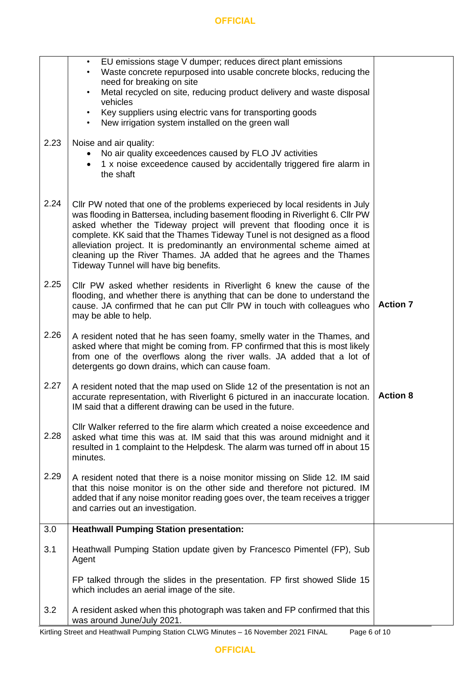|      | EU emissions stage V dumper; reduces direct plant emissions<br>Waste concrete repurposed into usable concrete blocks, reducing the<br>need for breaking on site<br>Metal recycled on site, reducing product delivery and waste disposal<br>$\bullet$<br>vehicles<br>Key suppliers using electric vans for transporting goods<br>New irrigation system installed on the green wall                                                                                                                                       |                 |
|------|-------------------------------------------------------------------------------------------------------------------------------------------------------------------------------------------------------------------------------------------------------------------------------------------------------------------------------------------------------------------------------------------------------------------------------------------------------------------------------------------------------------------------|-----------------|
| 2.23 | Noise and air quality:<br>No air quality exceedences caused by FLO JV activities<br>1 x noise exceedence caused by accidentally triggered fire alarm in<br>the shaft                                                                                                                                                                                                                                                                                                                                                    |                 |
| 2.24 | Cllr PW noted that one of the problems experieced by local residents in July<br>was flooding in Battersea, including basement flooding in Riverlight 6. Cllr PW<br>asked whether the Tideway project will prevent that flooding once it is<br>complete. KK said that the Thames Tideway Tunel is not designed as a flood<br>alleviation project. It is predominantly an environmental scheme aimed at<br>cleaning up the River Thames. JA added that he agrees and the Thames<br>Tideway Tunnel will have big benefits. |                 |
| 2.25 | Cllr PW asked whether residents in Riverlight 6 knew the cause of the<br>flooding, and whether there is anything that can be done to understand the<br>cause. JA confirmed that he can put Cllr PW in touch with colleagues who<br>may be able to help.                                                                                                                                                                                                                                                                 | <b>Action 7</b> |
| 2.26 | A resident noted that he has seen foamy, smelly water in the Thames, and<br>asked where that might be coming from. FP confirmed that this is most likely<br>from one of the overflows along the river walls. JA added that a lot of<br>detergents go down drains, which can cause foam.                                                                                                                                                                                                                                 |                 |
| 2.27 | A resident noted that the map used on Slide 12 of the presentation is not an<br>accurate representation, with Riverlight 6 pictured in an inaccurate location.<br>IM said that a different drawing can be used in the future.                                                                                                                                                                                                                                                                                           | <b>Action 8</b> |
| 2.28 | CIIr Walker referred to the fire alarm which created a noise exceedence and<br>asked what time this was at. IM said that this was around midnight and it<br>resulted in 1 complaint to the Helpdesk. The alarm was turned off in about 15<br>minutes.                                                                                                                                                                                                                                                                   |                 |
| 2.29 | A resident noted that there is a noise monitor missing on Slide 12. IM said<br>that this noise monitor is on the other side and therefore not pictured. IM<br>added that if any noise monitor reading goes over, the team receives a trigger<br>and carries out an investigation.                                                                                                                                                                                                                                       |                 |
| 3.0  | <b>Heathwall Pumping Station presentation:</b>                                                                                                                                                                                                                                                                                                                                                                                                                                                                          |                 |
| 3.1  | Heathwall Pumping Station update given by Francesco Pimentel (FP), Sub<br>Agent                                                                                                                                                                                                                                                                                                                                                                                                                                         |                 |
|      | FP talked through the slides in the presentation. FP first showed Slide 15<br>which includes an aerial image of the site.                                                                                                                                                                                                                                                                                                                                                                                               |                 |
| 3.2  | A resident asked when this photograph was taken and FP confirmed that this<br>was around June/July 2021.                                                                                                                                                                                                                                                                                                                                                                                                                |                 |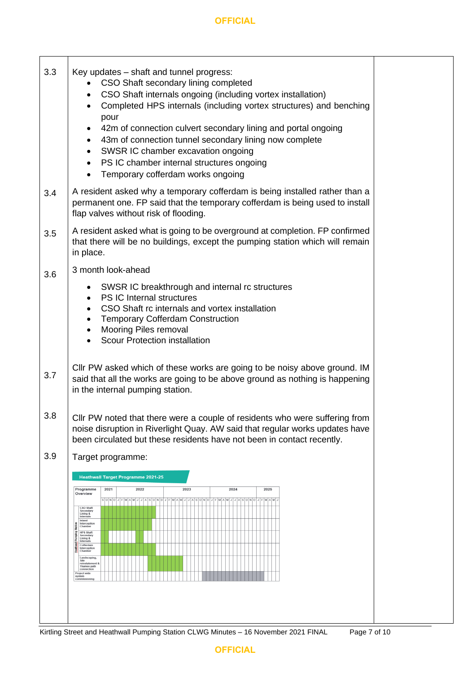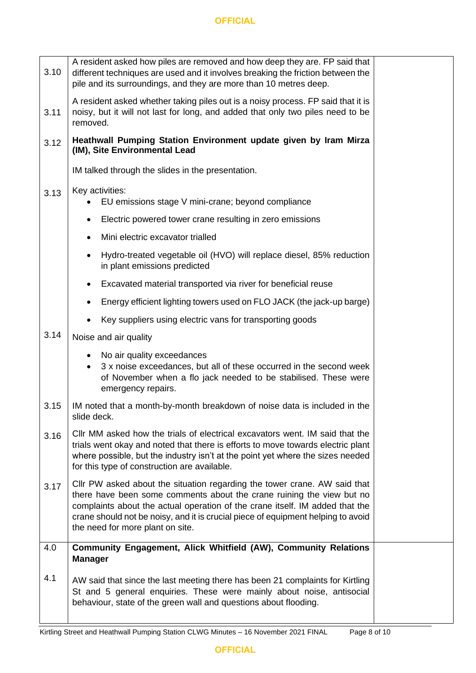| 3.10 | A resident asked how piles are removed and how deep they are. FP said that<br>different techniques are used and it involves breaking the friction between the<br>pile and its surroundings, and they are more than 10 metres deep.                                                                                                                         |  |  |  |  |
|------|------------------------------------------------------------------------------------------------------------------------------------------------------------------------------------------------------------------------------------------------------------------------------------------------------------------------------------------------------------|--|--|--|--|
| 3.11 | A resident asked whether taking piles out is a noisy process. FP said that it is<br>noisy, but it will not last for long, and added that only two piles need to be<br>removed.                                                                                                                                                                             |  |  |  |  |
| 3.12 | Heathwall Pumping Station Environment update given by Iram Mirza<br>(IM), Site Environmental Lead                                                                                                                                                                                                                                                          |  |  |  |  |
|      | IM talked through the slides in the presentation.                                                                                                                                                                                                                                                                                                          |  |  |  |  |
| 3.13 | Key activities:<br>EU emissions stage V mini-crane; beyond compliance                                                                                                                                                                                                                                                                                      |  |  |  |  |
|      | Electric powered tower crane resulting in zero emissions<br>٠                                                                                                                                                                                                                                                                                              |  |  |  |  |
|      | Mini electric excavator trialled                                                                                                                                                                                                                                                                                                                           |  |  |  |  |
|      | Hydro-treated vegetable oil (HVO) will replace diesel, 85% reduction<br>in plant emissions predicted                                                                                                                                                                                                                                                       |  |  |  |  |
|      | Excavated material transported via river for beneficial reuse                                                                                                                                                                                                                                                                                              |  |  |  |  |
|      | Energy efficient lighting towers used on FLO JACK (the jack-up barge)                                                                                                                                                                                                                                                                                      |  |  |  |  |
|      | Key suppliers using electric vans for transporting goods<br>$\bullet$                                                                                                                                                                                                                                                                                      |  |  |  |  |
| 3.14 | Noise and air quality                                                                                                                                                                                                                                                                                                                                      |  |  |  |  |
|      | No air quality exceedances<br>3 x noise exceedances, but all of these occurred in the second week<br>$\bullet$<br>of November when a flo jack needed to be stabilised. These were<br>emergency repairs.                                                                                                                                                    |  |  |  |  |
| 3.15 | IM noted that a month-by-month breakdown of noise data is included in the<br>slide deck.                                                                                                                                                                                                                                                                   |  |  |  |  |
| 3.16 | CIIr MM asked how the trials of electrical excavators went. IM said that the<br>trials went okay and noted that there is efforts to move towards electric plant<br>where possible, but the industry isn't at the point yet where the sizes needed<br>for this type of construction are available.                                                          |  |  |  |  |
| 3.17 | Cllr PW asked about the situation regarding the tower crane. AW said that<br>there have been some comments about the crane ruining the view but no<br>complaints about the actual operation of the crane itself. IM added that the<br>crane should not be noisy, and it is crucial piece of equipment helping to avoid<br>the need for more plant on site. |  |  |  |  |
| 4.0  | <b>Community Engagement, Alick Whitfield (AW), Community Relations</b><br><b>Manager</b>                                                                                                                                                                                                                                                                   |  |  |  |  |
| 4.1  | AW said that since the last meeting there has been 21 complaints for Kirtling<br>St and 5 general enquiries. These were mainly about noise, antisocial<br>behaviour, state of the green wall and questions about flooding.                                                                                                                                 |  |  |  |  |
|      |                                                                                                                                                                                                                                                                                                                                                            |  |  |  |  |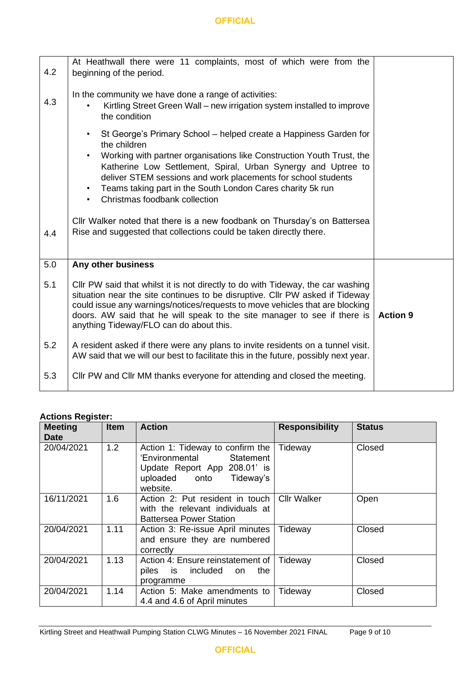| 4.2 | At Heathwall there were 11 complaints, most of which were from the<br>beginning of the period.                                                                                                                                                                                                                                                                                                                        |                 |
|-----|-----------------------------------------------------------------------------------------------------------------------------------------------------------------------------------------------------------------------------------------------------------------------------------------------------------------------------------------------------------------------------------------------------------------------|-----------------|
| 4.3 | In the community we have done a range of activities:<br>Kirtling Street Green Wall – new irrigation system installed to improve<br>the condition                                                                                                                                                                                                                                                                      |                 |
|     | St George's Primary School – helped create a Happiness Garden for<br>the children<br>Working with partner organisations like Construction Youth Trust, the<br>$\bullet$<br>Katherine Low Settlement, Spiral, Urban Synergy and Uptree to<br>deliver STEM sessions and work placements for school students<br>Teams taking part in the South London Cares charity 5k run<br>$\bullet$<br>Christmas foodbank collection |                 |
| 4.4 | Cllr Walker noted that there is a new foodbank on Thursday's on Battersea<br>Rise and suggested that collections could be taken directly there.                                                                                                                                                                                                                                                                       |                 |
| 5.0 | Any other business                                                                                                                                                                                                                                                                                                                                                                                                    |                 |
| 5.1 | CIIr PW said that whilst it is not directly to do with Tideway, the car washing<br>situation near the site continues to be disruptive. Cllr PW asked if Tideway<br>could issue any warnings/notices/requests to move vehicles that are blocking<br>doors. AW said that he will speak to the site manager to see if there is<br>anything Tideway/FLO can do about this.                                                | <b>Action 9</b> |
| 5.2 | A resident asked if there were any plans to invite residents on a tunnel visit.<br>AW said that we will our best to facilitate this in the future, possibly next year.                                                                                                                                                                                                                                                |                 |
| 5.3 | CIIr PW and CIIr MM thanks everyone for attending and closed the meeting.                                                                                                                                                                                                                                                                                                                                             |                 |

# **Actions Register:**

| <b>Meeting</b><br><b>Date</b> | <b>Item</b> | <b>Action</b>                                                                                                                          | <b>Responsibility</b> | <b>Status</b> |
|-------------------------------|-------------|----------------------------------------------------------------------------------------------------------------------------------------|-----------------------|---------------|
| 20/04/2021                    | 1.2         | Action 1: Tideway to confirm the<br>'Environmental Statement<br>Update Report App 208.01' is<br>uploaded onto<br>Tideway's<br>website. | Tideway               | Closed        |
| 16/11/2021                    | 1.6         | Action 2: Put resident in touch<br>with the relevant individuals at<br><b>Battersea Power Station</b>                                  | <b>Cllr Walker</b>    | Open          |
| 20/04/2021                    | 1.11        | Action 3: Re-issue April minutes<br>and ensure they are numbered<br>correctly                                                          | Tideway               | Closed        |
| 20/04/2021                    | 1.13        | Action 4: Ensure reinstatement of<br>is included<br>piles<br>the<br>on.<br>programme                                                   | Tideway               | Closed        |
| 20/04/2021                    | 1.14        | Action 5: Make amendments to<br>4.4 and 4.6 of April minutes                                                                           | Tideway               | Closed        |